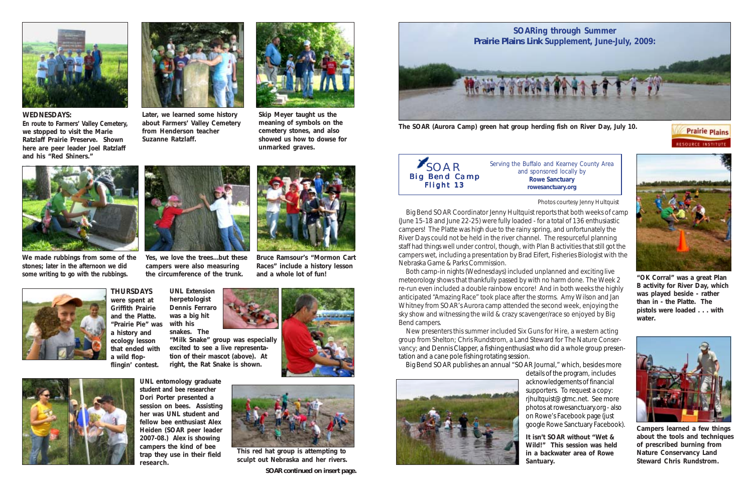

**The SOAR (Aurora Camp) green hat group herding fish on River Day, July 10.**

 Big Bend SOAR Coordinator Jenny Hultquist reports that both weeks of camp (June 15-18 and June 22-25) were fully loaded - for a total of 136 enthusiastic campers! The Platte was high due to the rainy spring, and unfortunately the River Days could not be held in the river channel. The resourceful planning staff had things well under control, though, with Plan B activities that still got the campers wet, including a presentation by Brad Eifert, Fisheries Biologist with the Nebraska Game & Parks Commission.

 Both camp-in nights (Wednesdays) included unplanned and exciting live meteorology shows that thankfully passed by with no harm done. The Week 2 re-run even included a double rainbow encore! And in both weeks the highly anticipated "Amazing Race" took place after the storms. Amy Wilson and Jan Whitney from SOAR's Aurora camp attended the second week, enjoying the sky show and witnessing the wild & crazy scavenger/race so enjoyed by Big Bend campers.

 New presenters this summer included Six Guns for Hire, a western acting group from Shelton; Chris Rundstrom, a Land Steward for The Nature Conservancy; and Dennis Clapper, a fishing enthusiast who did a whole group presentation and a cane pole fishing rotating session.

Big Bend SOAR publishes an annual "SOAR Journal," which, besides more



details of the program, includes acknowledgements of financial supporters. To request a copy: rjhultquist@gtmc.net. See more photos at rowesanctuary.org - also on Rowe's Facebook page (just google Rowe Sanctuary Facebook).



**Prairie Plains** 

**RESOURCE INSTITUTE** 

*Serving the Buffalo and Kearney County Area and sponsored locally by* **Rowe Sanctuary rowesanctuary.org**



**"OK Corral" was a great Plan B activity for River Day, which was played beside - rather than in - the Platte. The pistols were loaded . . . with water.**



**Campers learned a few things about the tools and techniques of prescribed burning from Nature Conservancy Land Steward Chris Rundstrom.**

**It isn't SOAR without "Wet & Wild!" This session was held in a backwater area of Rowe Santuary.**

Photos courtesy Jenny Hultquist



## **WEDNESDAYS:**

**En route to Farmers' Valley Cemetery, we stopped to visit the Marie Ratzlaff Prairie Preserve. Shown here are peer leader Joel Ratzlaff and his "Red Shiners."**



**Later, we learned some history about Farmers' Valley Cemetery from Henderson teacher Suzanne Ratzlaff.**



**Skip Meyer taught us the meaning of symbols on the cemetery stones, and also showed us how to dowse for unmarked graves.**



**We made rubbings from some of the stones; later in the afternoon we did some writing to go with the rubbings.**

**Yes, we love the trees...but these campers were also measuring the circumference of the trunk.**

**Bruce Ramsour's "Mormon Cart Races" include a history lesson**



**THURSDAYS were spent at Griffith Prairie and the Platte. "Prairie Pie" was a history and ecology lesson that ended with a wild flopflingin' contest.**





**This red hat group is attempting to sculpt out Nebraska and her rivers.**

**UNL entomology graduate student and bee researcher Dori Porter presented a session on bees. Assisting** her was UNL student and **fellow bee enthusiast Alex Heiden (SOAR peer leader 2007-08.) Alex is showing campers the kind of bee trap they use in their field research.**

**UNL Extension herpetologist Dennis Ferraro was a big hit with his**

**snakes. The**

**"Milk Snake" group was especially excited to see a live representation of their mascot (above). At right, the Rat Snake is shown.**





*SOAR continued on insert page.*